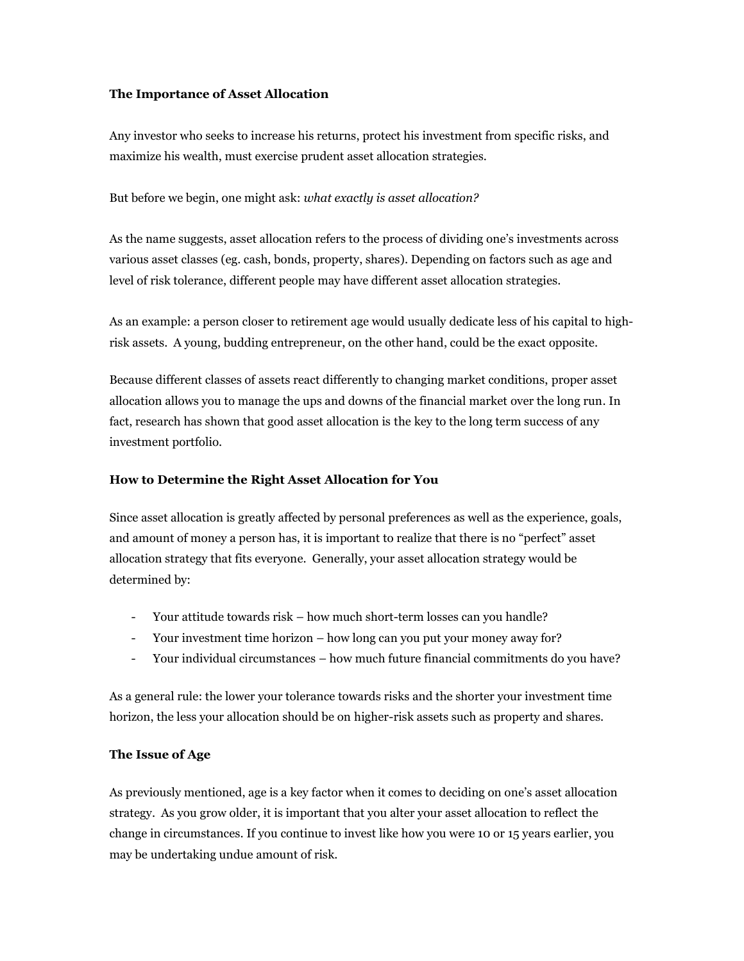## **The Importance of Asset Allocation**

Any investor who seeks to increase his returns, protect his investment from specific risks, and maximize his wealth, must exercise prudent asset allocation strategies.

But before we begin, one might ask: *what exactly is asset allocation?*

As the name suggests, asset allocation refers to the process of dividing one's investments across various asset classes (eg. cash, bonds, property, shares). Depending on factors such as age and level of risk tolerance, different people may have different asset allocation strategies.

As an example: a person closer to retirement age would usually dedicate less of his capital to highrisk assets. A young, budding entrepreneur, on the other hand, could be the exact opposite.

Because different classes of assets react differently to changing market conditions, proper asset allocation allows you to manage the ups and downs of the financial market over the long run. In fact, research has shown that good asset allocation is the key to the long term success of any investment portfolio.

## **How to Determine the Right Asset Allocation for You**

Since asset allocation is greatly affected by personal preferences as well as the experience, goals, and amount of money a person has, it is important to realize that there is no "perfect" asset allocation strategy that fits everyone. Generally, your asset allocation strategy would be determined by:

- Your attitude towards risk how much short-term losses can you handle?
- Your investment time horizon how long can you put your money away for?
- Your individual circumstances how much future financial commitments do you have?

As a general rule: the lower your tolerance towards risks and the shorter your investment time horizon, the less your allocation should be on higher-risk assets such as property and shares.

## **The Issue of Age**

As previously mentioned, age is a key factor when it comes to deciding on one's asset allocation strategy. As you grow older, it is important that you alter your asset allocation to reflect the change in circumstances. If you continue to invest like how you were 10 or 15 years earlier, you may be undertaking undue amount of risk.